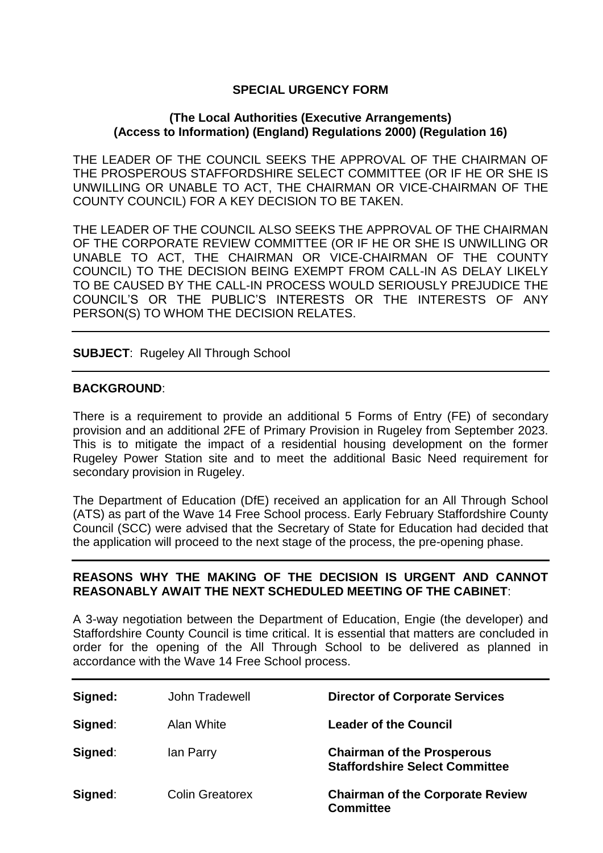# **SPECIAL URGENCY FORM**

## **(The Local Authorities (Executive Arrangements) (Access to Information) (England) Regulations 2000) (Regulation 16)**

THE LEADER OF THE COUNCIL SEEKS THE APPROVAL OF THE CHAIRMAN OF THE PROSPEROUS STAFFORDSHIRE SELECT COMMITTEE (OR IF HE OR SHE IS UNWILLING OR UNABLE TO ACT, THE CHAIRMAN OR VICE-CHAIRMAN OF THE COUNTY COUNCIL) FOR A KEY DECISION TO BE TAKEN.

THE LEADER OF THE COUNCIL ALSO SEEKS THE APPROVAL OF THE CHAIRMAN OF THE CORPORATE REVIEW COMMITTEE (OR IF HE OR SHE IS UNWILLING OR UNABLE TO ACT, THE CHAIRMAN OR VICE-CHAIRMAN OF THE COUNTY COUNCIL) TO THE DECISION BEING EXEMPT FROM CALL-IN AS DELAY LIKELY TO BE CAUSED BY THE CALL-IN PROCESS WOULD SERIOUSLY PREJUDICE THE COUNCIL'S OR THE PUBLIC'S INTERESTS OR THE INTERESTS OF ANY PERSON(S) TO WHOM THE DECISION RELATES.

## **SUBJECT**: Rugeley All Through School

## **BACKGROUND**:

There is a requirement to provide an additional 5 Forms of Entry (FE) of secondary provision and an additional 2FE of Primary Provision in Rugeley from September 2023. This is to mitigate the impact of a residential housing development on the former Rugeley Power Station site and to meet the additional Basic Need requirement for secondary provision in Rugeley.

The Department of Education (DfE) received an application for an All Through School (ATS) as part of the Wave 14 Free School process. Early February Staffordshire County Council (SCC) were advised that the Secretary of State for Education had decided that the application will proceed to the next stage of the process, the pre-opening phase.

## **REASONS WHY THE MAKING OF THE DECISION IS URGENT AND CANNOT REASONABLY AWAIT THE NEXT SCHEDULED MEETING OF THE CABINET**:

A 3-way negotiation between the Department of Education, Engie (the developer) and Staffordshire County Council is time critical. It is essential that matters are concluded in order for the opening of the All Through School to be delivered as planned in accordance with the Wave 14 Free School process.

| Signed: | <b>John Tradewell</b>  | <b>Director of Corporate Services</b>                                      |
|---------|------------------------|----------------------------------------------------------------------------|
| Signed: | Alan White             | <b>Leader of the Council</b>                                               |
| Signed: | lan Parry              | <b>Chairman of the Prosperous</b><br><b>Staffordshire Select Committee</b> |
| Signed: | <b>Colin Greatorex</b> | <b>Chairman of the Corporate Review</b><br><b>Committee</b>                |